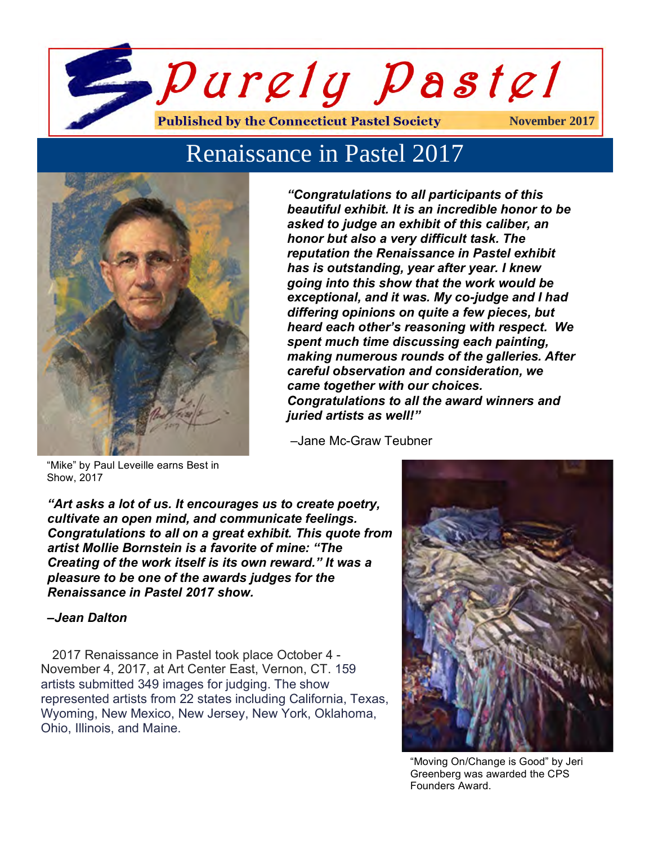

# Renaissance in Pastel 2017



*"Congratulations to all participants of this beautiful exhibit. It is an incredible honor to be asked to judge an exhibit of this caliber, an honor but also a very difficult task. The reputation the Renaissance in Pastel exhibit has is outstanding, year after year. I knew going into this show that the work would be exceptional, and it was. My co-judge and I had differing opinions on quite a few pieces, but heard each other's reasoning with respect. We spent much time discussing each painting, making numerous rounds of the galleries. After careful observation and consideration, we came together with our choices. Congratulations to all the award winners and juried artists as well!"* 

–Jane Mc-Graw Teubner

"Mike" by Paul Leveille earns Best in Show, 2017

*"Art asks a lot of us. It encourages us to create poetry, cultivate an open mind, and communicate feelings. Congratulations to all on a great exhibit. This quote from artist Mollie Bornstein is a favorite of mine: "The Creating of the work itself is its own reward." It was a pleasure to be one of the awards judges for the Renaissance in Pastel 2017 show.*

#### *–Jean Dalton*

 2017 Renaissance in Pastel took place October 4 - November 4, 2017, at Art Center East, Vernon, CT. 159 artists submitted 349 images for judging. The show represented artists from 22 states including California, Texas, Wyoming, New Mexico, New Jersey, New York, Oklahoma, Ohio, Illinois, and Maine.



"Moving On/Change is Good" by Jeri Greenberg was awarded the CPS Founders Award.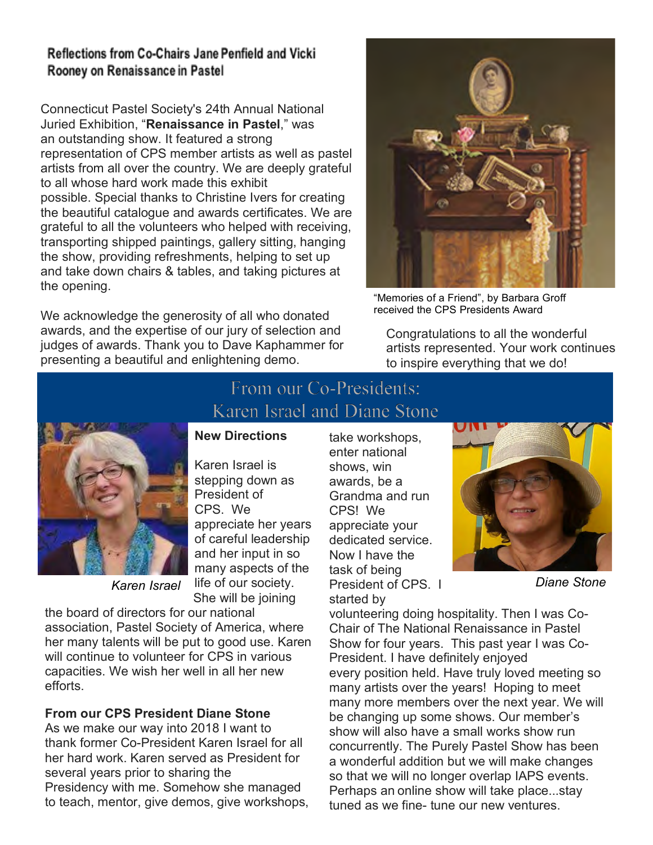## **Reflections from Co-Chairs Jane Penfield and Vicki** Rooney on Renaissance in Pastel

Connecticut Pastel Society's 24th Annual National Juried Exhibition, "**Renaissance in Pastel**," was an outstanding show. It featured a strong representation of CPS member artists as well as pastel artists from all over the country. We are deeply grateful to all whose hard work made this exhibit possible. Special thanks to Christine Ivers for creating the beautiful catalogue and awards certificates. We are grateful to all the volunteers who helped with receiving, transporting shipped paintings, gallery sitting, hanging the show, providing refreshments, helping to set up and take down chairs & tables, and taking pictures at the opening.

We acknowledge the generosity of all who donated awards, and the expertise of our jury of selection and judges of awards. Thank you to Dave Kaphammer for presenting a beautiful and enlightening demo.



"Memories of a Friend", by Barbara Groff received the CPS Presidents Award

Congratulations to all the wonderful artists represented. Your work continues to inspire everything that we do!



# From our Co-Presidents: Karen Israel and Diane Stone

# **New Directions**

Karen Israel is stepping down as President of CPS. We appreciate her years of careful leadership and her input in so many aspects of the life of our society. She will be joining

*Karen Israel*

the board of directors for our national association, Pastel Society of America, where her many talents will be put to good use. Karen will continue to volunteer for CPS in various capacities. We wish her well in all her new efforts.

## **From our CPS President Diane Stone**

As we make our way into 2018 I want to thank former Co-President Karen Israel for all her hard work. Karen served as President for several years prior to sharing the Presidency with me. Somehow she managed to teach, mentor, give demos, give workshops, take workshops, enter national shows, win awards, be a Grandma and run CPS! We appreciate your dedicated service. Now I have the task of being President of CPS. I started by



*Diane Stone*

volunteering doing hospitality. Then I was Co-Chair of The National Renaissance in Pastel Show for four years. This past year I was Co-President. I have definitely enjoyed every position held. Have truly loved meeting so many artists over the years! Hoping to meet many more members over the next year. We will be changing up some shows. Our member's show will also have a small works show run concurrently. The Purely Pastel Show has been a wonderful addition but we will make changes so that we will no longer overlap IAPS events. Perhaps an online show will take place...stay tuned as we fine- tune our new ventures.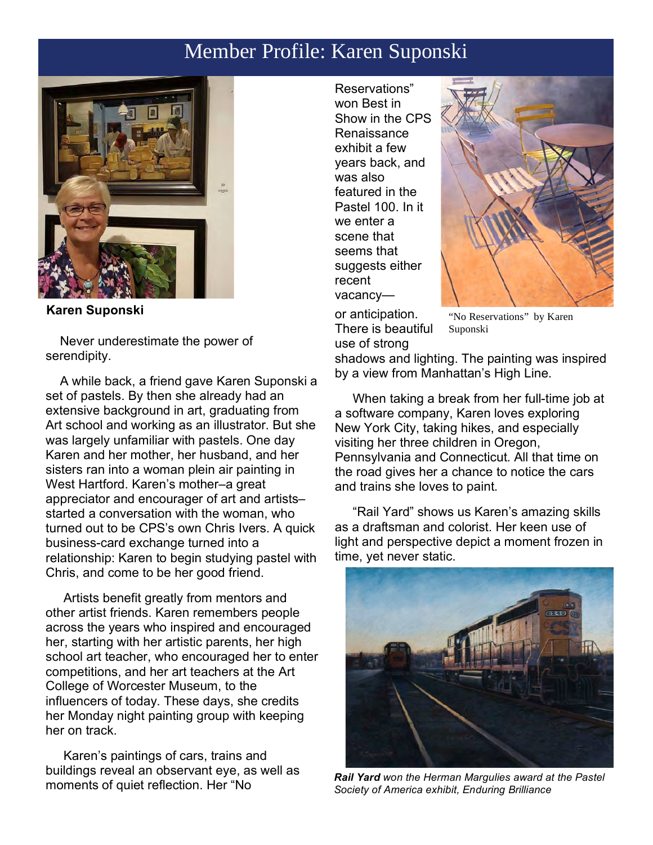# Member Profile: Karen Suponski



**Karen Suponski** 

 Never underestimate the power of serendipity.

 A while back, a friend gave Karen Suponski a set of pastels. By then she already had an extensive background in art, graduating from Art school and working as an illustrator. But she was largely unfamiliar with pastels. One day Karen and her mother, her husband, and her sisters ran into a woman plein air painting in West Hartford. Karen's mother–a great appreciator and encourager of art and artists– started a conversation with the woman, who turned out to be CPS's own Chris Ivers. A quick business-card exchange turned into a relationship: Karen to begin studying pastel with Chris, and come to be her good friend.

 Artists benefit greatly from mentors and other artist friends. Karen remembers people across the years who inspired and encouraged her, starting with her artistic parents, her high school art teacher, who encouraged her to enter competitions, and her art teachers at the Art College of Worcester Museum, to the influencers of today. These days, she credits her Monday night painting group with keeping her on track.

 Karen's paintings of cars, trains and buildings reveal an observant eye, as well as moments of quiet reflection. Her "No

Reservations" won Best in Show in the CPS Renaissance exhibit a few years back, and was also featured in the Pastel 100. In it we enter a scene that seems that suggests either recent vacancy—



or anticipation. There is beautiful use of strong

"No Reservations" by Karen Suponski

shadows and lighting. The painting was inspired by a view from Manhattan's High Line.

 When taking a break from her full-time job at a software company, Karen loves exploring New York City, taking hikes, and especially visiting her three children in Oregon, Pennsylvania and Connecticut. All that time on the road gives her a chance to notice the cars and trains she loves to paint.

 "Rail Yard" shows us Karen's amazing skills as a draftsman and colorist. Her keen use of light and perspective depict a moment frozen in time, yet never static.



*Rail Yard won the Herman Margulies award at the Pastel Society of America exhibit, Enduring Brilliance*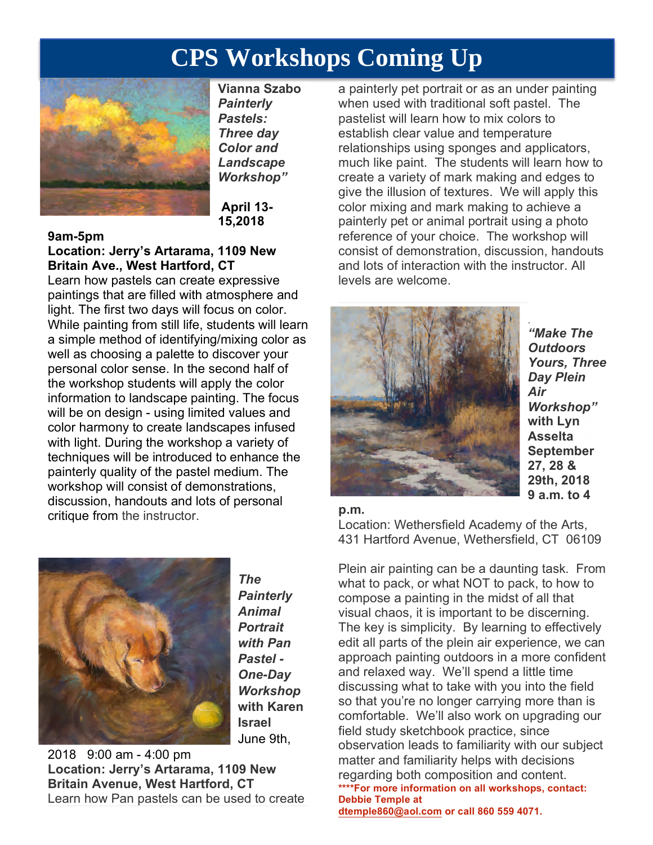# **CPS Workshops Coming Up**



**Vianna Szabo**  *Painterly Pastels: Three day Color and Landscape Workshop"*

**April 13- 15,2018**

#### **9am-5pm**

## **Location: Jerry's Artarama, 1109 New Britain Ave., West Hartford, CT**

Learn how pastels can create expressive paintings that are filled with atmosphere and light. The first two days will focus on color. While painting from still life, students will learn a simple method of identifying/mixing color as well as choosing a palette to discover your personal color sense. In the second half of the workshop students will apply the color information to landscape painting. The focus will be on design - using limited values and color harmony to create landscapes infused with light. During the workshop a variety of techniques will be introduced to enhance the painterly quality of the pastel medium. The workshop will consist of demonstrations, discussion, handouts and lots of personal critique from the instructor.



*The Painterly Animal Portrait with Pan Pastel - One-Day Workshop* **with Karen Israel** June 9th,

2018 9:00 am - 4:00 pm **Location: Jerry's Artarama, 1109 New Britain Avenue, West Hartford, CT**  Learn how Pan pastels can be used to create

a painterly pet portrait or as an under painting when used with traditional soft pastel. The pastelist will learn how to mix colors to establish clear value and temperature relationships using sponges and applicators, much like paint. The students will learn how to create a variety of mark making and edges to give the illusion of textures. We will apply this color mixing and mark making to achieve a painterly pet or animal portrait using a photo reference of your choice. The workshop will consist of demonstration, discussion, handouts and lots of interaction with the instructor. All levels are welcome.



*"Make The Outdoors Yours, Three Day Plein Air Workshop"* **with Lyn Asselta September 27, 28 & 29th, 2018 9 a.m. to 4** 

#### **p.m.**

Location: Wethersfield Academy of the Arts, 431 Hartford Avenue, Wethersfield, CT 06109

Plein air painting can be a daunting task. From what to pack, or what NOT to pack, to how to compose a painting in the midst of all that visual chaos, it is important to be discerning. The key is simplicity. By learning to effectively edit all parts of the plein air experience, we can approach painting outdoors in a more confident and relaxed way. We'll spend a little time discussing what to take with you into the field so that you're no longer carrying more than is comfortable. We'll also work on upgrading our field study sketchbook practice, since observation leads to familiarity with our subject matter and familiarity helps with decisions regarding both composition and content. **\*\*\*\*For more information on all workshops, contact: Debbie Temple at dtemple860@aol.com or call 860 559 4071.**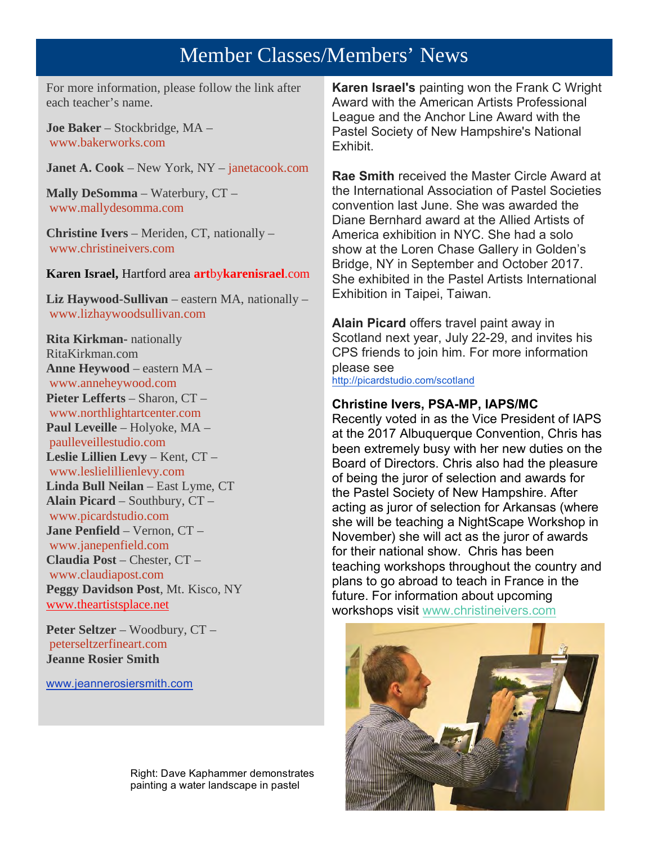# Member Classes/Members' News

For more information, please follow the link after each teacher's name.

**Joe Baker** – Stockbridge, MA – www.bakerworks.com

**Janet A. Cook** – New York, NY – janetacook.com

**Mally DeSomma** – Waterbury, CT – www.mallydesomma.com

**Christine Ivers** – Meriden, CT, nationally – www.christineivers.com

**Karen Israel,** Hartford area **art**by**karenisrael**.com

**Liz Haywood-Sullivan** – eastern MA, nationally – www.lizhaywoodsullivan.com

**Rita Kirkman-** nationally RitaKirkman.com **Anne Heywood** – eastern MA – www.anneheywood.com **Pieter Lefferts** – Sharon, CT – www.northlightartcenter.com **Paul Leveille** – Holyoke, MA – paulleveillestudio.com **Leslie Lillien Levy** – Kent, CT – www.leslielillienlevy.com **Linda Bull Neilan** – East Lyme, CT **Alain Picard** – Southbury, CT – www.picardstudio.com **Jane Penfield** – Vernon, CT – www.janepenfield.com **Claudia Post** – Chester, CT – www.claudiapost.com **Peggy Davidson Post**, Mt. Kisco, NY www.theartistsplace.net

**Peter Seltzer** – Woodbury, CT – peterseltzerfineart.com **Jeanne Rosier Smith**

www.jeannerosiersmith.com

**Karen Israel's** painting won the Frank C Wright Award with the American Artists Professional League and the Anchor Line Award with the Pastel Society of New Hampshire's National Exhibit.

**Rae Smith** received the Master Circle Award at the International Association of Pastel Societies convention last June. She was awarded the Diane Bernhard award at the Allied Artists of America exhibition in NYC. She had a solo show at the Loren Chase Gallery in Golden's Bridge, NY in September and October 2017. She exhibited in the Pastel Artists International Exhibition in Taipei, Taiwan.

**Alain Picard** offers travel paint away in Scotland next year, July 22-29, and invites his CPS friends to join him. For more information please see http://picardstudio.com/scotland

#### **Christine Ivers, PSA-MP, IAPS/MC**

Recently voted in as the Vice President of IAPS at the 2017 Albuquerque Convention, Chris has been extremely busy with her new duties on the Board of Directors. Chris also had the pleasure of being the juror of selection and awards for the Pastel Society of New Hampshire. After acting as juror of selection for Arkansas (where she will be teaching a NightScape Workshop in November) she will act as the juror of awards for their national show. Chris has been teaching workshops throughout the country and plans to go abroad to teach in France in the future. For information about upcoming workshops visit www.christineivers.com



Right: Dave Kaphammer demonstrates painting a water landscape in pastel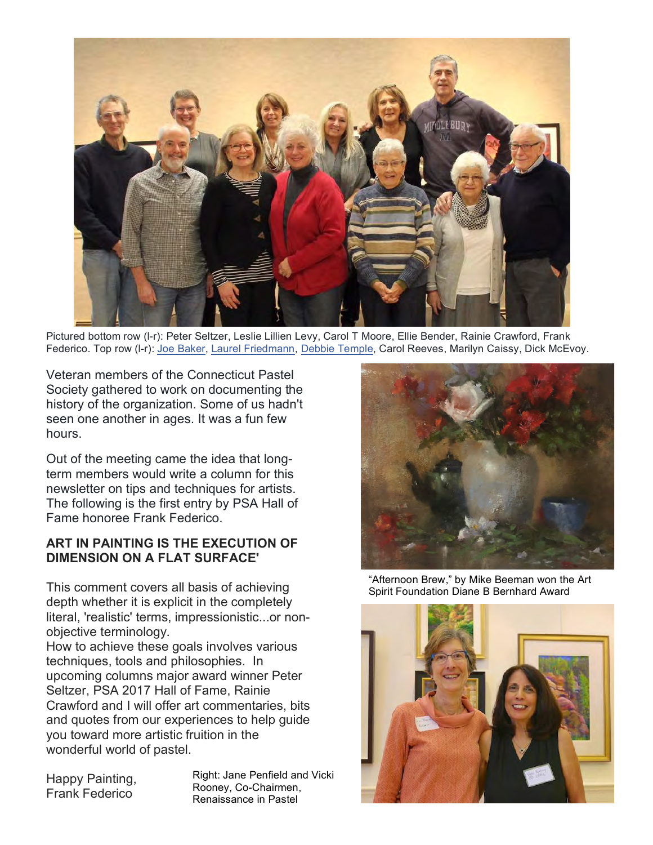

Pictured bottom row (l-r): Peter Seltzer, Leslie Lillien Levy, Carol T Moore, Ellie Bender, Rainie Crawford, Frank Federico. Top row (l-r): Joe Baker, Laurel Friedmann, Debbie Temple, Carol Reeves, Marilyn Caissy, Dick McEvoy.

Veteran members of the Connecticut Pastel Society gathered to work on documenting the history of the organization. Some of us hadn't seen one another in ages. It was a fun few hours.

Out of the meeting came the idea that longterm members would write a column for this newsletter on tips and techniques for artists. The following is the first entry by PSA Hall of Fame honoree Frank Federico.

#### **ART IN PAINTING IS THE EXECUTION OF DIMENSION ON A FLAT SURFACE'**

This comment covers all basis of achieving depth whether it is explicit in the completely literal, 'realistic' terms, impressionistic...or nonobjective terminology.

How to achieve these goals involves various techniques, tools and philosophies. In upcoming columns major award winner Peter Seltzer, PSA 2017 Hall of Fame, Rainie Crawford and I will offer art commentaries, bits and quotes from our experiences to help guide you toward more artistic fruition in the wonderful world of pastel.

Happy Painting, Frank Federico

Right: Jane Penfield and Vicki Rooney, Co-Chairmen, Renaissance in Pastel



"Afternoon Brew," by Mike Beeman won the Art Spirit Foundation Diane B Bernhard Award